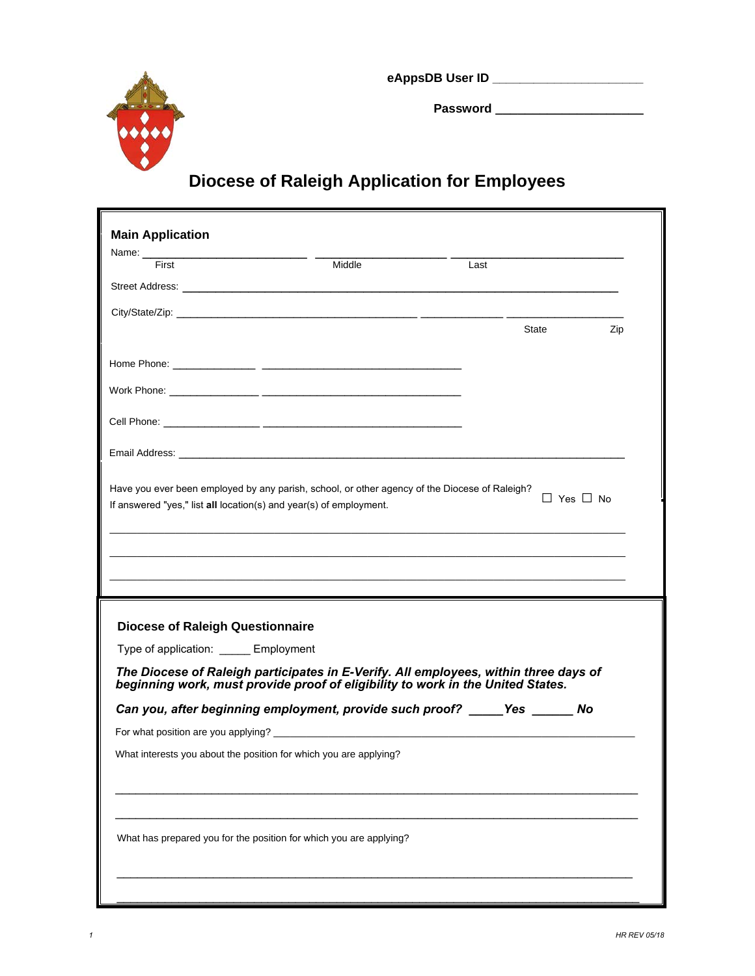

**eAppsDB User ID \_\_\_\_\_\_\_\_\_\_\_\_\_\_\_\_\_\_\_\_\_\_**

**Password \_\_\_\_\_\_\_\_\_\_\_\_\_\_\_\_\_\_\_\_**

## **Diocese of Raleigh Application for Employees**

| First                                   | Middle                                                                                                                                                                                                                               | Last |              |
|-----------------------------------------|--------------------------------------------------------------------------------------------------------------------------------------------------------------------------------------------------------------------------------------|------|--------------|
|                                         | Street Address: <u>with the street and the street and the street and the street and the street and the street and the street and the street and the street and the street and the street and the street and the street and the s</u> |      |              |
|                                         |                                                                                                                                                                                                                                      |      |              |
|                                         |                                                                                                                                                                                                                                      |      | State<br>Zip |
|                                         |                                                                                                                                                                                                                                      |      |              |
|                                         |                                                                                                                                                                                                                                      |      |              |
|                                         |                                                                                                                                                                                                                                      |      |              |
|                                         |                                                                                                                                                                                                                                      |      |              |
|                                         |                                                                                                                                                                                                                                      |      |              |
|                                         | If answered "yes," list all location(s) and year(s) of employment.                                                                                                                                                                   |      |              |
| <b>Diocese of Raleigh Questionnaire</b> |                                                                                                                                                                                                                                      |      |              |
| Type of application: _____ Employment   |                                                                                                                                                                                                                                      |      |              |
|                                         | The Diocese of Raleigh participates in E-Verify. All employees, within three days of<br>beginning work, must provide proof of eligibility to work in the United States.                                                              |      |              |
|                                         | Can you, after beginning employment, provide such proof? _____ Yes ______ No                                                                                                                                                         |      |              |
|                                         | For what position are you applying?<br>The matter of the state of the state of the state of the state of the state of the state of the state of the state of the state of the state of the state of the state of the state of th     |      |              |
|                                         | What interests you about the position for which you are applying?                                                                                                                                                                    |      |              |
|                                         |                                                                                                                                                                                                                                      |      |              |
|                                         |                                                                                                                                                                                                                                      |      |              |
|                                         | What has prepared you for the position for which you are applying?                                                                                                                                                                   |      |              |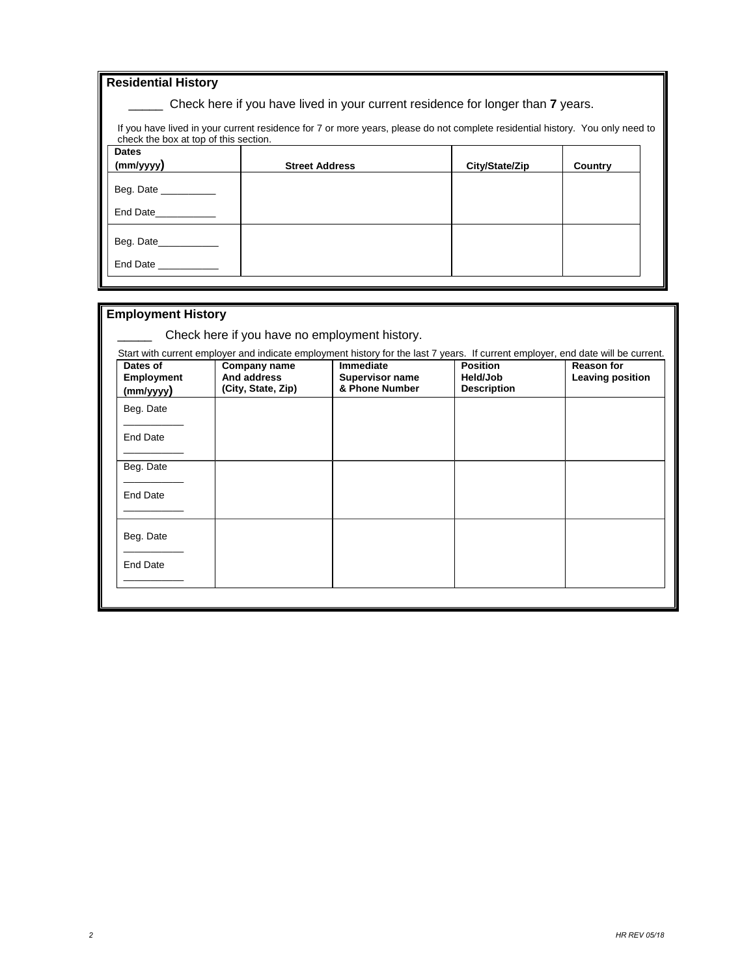| <b>Residential History</b>            |                                                                                                                               |                |         |
|---------------------------------------|-------------------------------------------------------------------------------------------------------------------------------|----------------|---------|
|                                       | Check here if you have lived in your current residence for longer than 7 years.                                               |                |         |
| check the box at top of this section. | If you have lived in your current residence for 7 or more years, please do not complete residential history. You only need to |                |         |
| <b>Dates</b>                          |                                                                                                                               |                |         |
| (mm/yyyy)                             | <b>Street Address</b>                                                                                                         | City/State/Zip | Country |
| Beg. Date                             |                                                                                                                               |                |         |
| End Date___________                   |                                                                                                                               |                |         |
| Beg. Date_____________                |                                                                                                                               |                |         |
| End Date <b>Example</b>               |                                                                                                                               |                |         |

## **Employment History**  Check here if you have no employment history. Start with current employer and indicate employment history for the last 7 years. If current employer, end date will be current. **Dates of Employment (mm/yyyy) Company name And address (City, State, Zip) Immediate Supervisor name & Phone Number Position Held/Job Description Reason for Leaving position** Beg. Date \_\_\_\_\_\_\_\_\_\_\_ End Date  $\overline{\phantom{a}}$   $\overline{\phantom{a}}$   $\overline{\phantom{a}}$   $\overline{\phantom{a}}$   $\overline{\phantom{a}}$   $\overline{\phantom{a}}$   $\overline{\phantom{a}}$   $\overline{\phantom{a}}$   $\overline{\phantom{a}}$   $\overline{\phantom{a}}$   $\overline{\phantom{a}}$   $\overline{\phantom{a}}$   $\overline{\phantom{a}}$   $\overline{\phantom{a}}$   $\overline{\phantom{a}}$   $\overline{\phantom{a}}$   $\overline{\phantom{a}}$   $\overline{\phantom{a}}$   $\overline{\$ Beg. Date  $\overline{\phantom{a}}$   $\overline{\phantom{a}}$   $\overline{\phantom{a}}$   $\overline{\phantom{a}}$   $\overline{\phantom{a}}$   $\overline{\phantom{a}}$   $\overline{\phantom{a}}$   $\overline{\phantom{a}}$   $\overline{\phantom{a}}$   $\overline{\phantom{a}}$   $\overline{\phantom{a}}$   $\overline{\phantom{a}}$   $\overline{\phantom{a}}$   $\overline{\phantom{a}}$   $\overline{\phantom{a}}$   $\overline{\phantom{a}}$   $\overline{\phantom{a}}$   $\overline{\phantom{a}}$   $\overline{\$ End Date \_\_\_\_\_\_\_\_\_\_\_ Beg. Date \_\_\_\_\_\_\_\_\_\_\_ End Date  $\overline{\phantom{a}}$   $\overline{\phantom{a}}$   $\overline{\phantom{a}}$   $\overline{\phantom{a}}$   $\overline{\phantom{a}}$   $\overline{\phantom{a}}$   $\overline{\phantom{a}}$   $\overline{\phantom{a}}$   $\overline{\phantom{a}}$   $\overline{\phantom{a}}$   $\overline{\phantom{a}}$   $\overline{\phantom{a}}$   $\overline{\phantom{a}}$   $\overline{\phantom{a}}$   $\overline{\phantom{a}}$   $\overline{\phantom{a}}$   $\overline{\phantom{a}}$   $\overline{\phantom{a}}$   $\overline{\$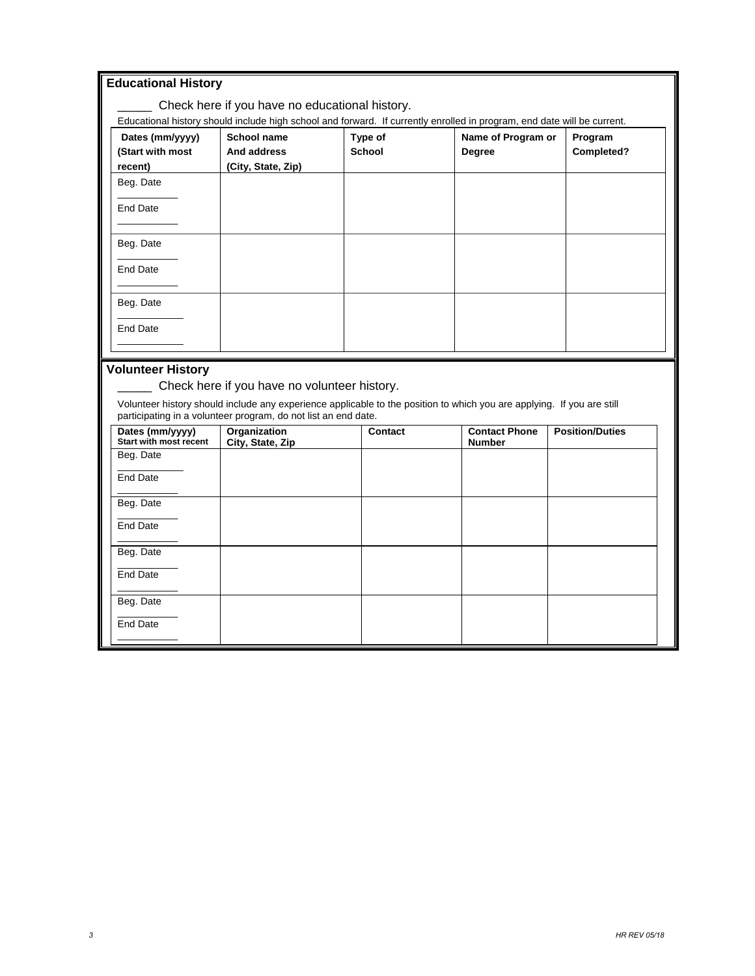| <b>Educational History</b>                       |                                                                |               |                                                                                                                         |                        |
|--------------------------------------------------|----------------------------------------------------------------|---------------|-------------------------------------------------------------------------------------------------------------------------|------------------------|
|                                                  | Check here if you have no educational history.                 |               |                                                                                                                         |                        |
|                                                  |                                                                |               | Educational history should include high school and forward. If currently enrolled in program, end date will be current. |                        |
| Dates (mm/yyyy)                                  | School name                                                    | Type of       | Name of Program or                                                                                                      | Program                |
| (Start with most                                 | And address                                                    | <b>School</b> | <b>Degree</b>                                                                                                           | Completed?             |
| recent)                                          | (City, State, Zip)                                             |               |                                                                                                                         |                        |
| Beg. Date                                        |                                                                |               |                                                                                                                         |                        |
| <b>End Date</b>                                  |                                                                |               |                                                                                                                         |                        |
|                                                  |                                                                |               |                                                                                                                         |                        |
| Beg. Date                                        |                                                                |               |                                                                                                                         |                        |
| <b>End Date</b>                                  |                                                                |               |                                                                                                                         |                        |
| Beg. Date                                        |                                                                |               |                                                                                                                         |                        |
| <b>End Date</b>                                  |                                                                |               |                                                                                                                         |                        |
|                                                  |                                                                |               |                                                                                                                         |                        |
| <b>Volunteer History</b>                         |                                                                |               |                                                                                                                         |                        |
|                                                  | Check here if you have no volunteer history.                   |               |                                                                                                                         |                        |
|                                                  | participating in a volunteer program, do not list an end date. |               | Volunteer history should include any experience applicable to the position to which you are applying. If you are still  |                        |
| Dates (mm/yyyy)<br><b>Start with most recent</b> | Organization<br>City, State, Zip                               | Contact       | <b>Contact Phone</b><br><b>Number</b>                                                                                   | <b>Position/Duties</b> |
| Beg. Date                                        |                                                                |               |                                                                                                                         |                        |
| <b>End Date</b>                                  |                                                                |               |                                                                                                                         |                        |

 $\overline{\phantom{a}}$ Beg. Date  $\overline{\phantom{a}}$  , where  $\overline{\phantom{a}}$ End Date  $\overline{\phantom{a}}$ Beg. Date  $\overline{\phantom{a}}$ End Date  $\overline{\phantom{a}}$ Beg. Date  $\overline{\phantom{a}}$ End Date \_\_\_\_\_\_\_\_\_\_\_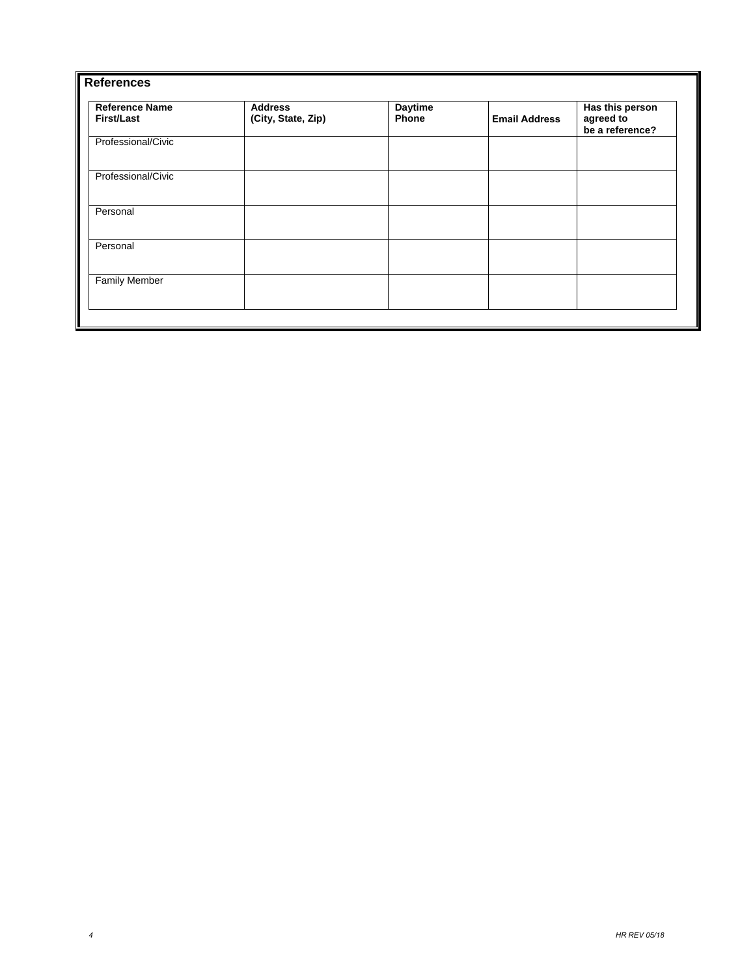| <b>References</b>                   |                                      |                         |                      |                                                 |
|-------------------------------------|--------------------------------------|-------------------------|----------------------|-------------------------------------------------|
| <b>Reference Name</b><br>First/Last | <b>Address</b><br>(City, State, Zip) | <b>Daytime</b><br>Phone | <b>Email Address</b> | Has this person<br>agreed to<br>be a reference? |
| Professional/Civic                  |                                      |                         |                      |                                                 |
| Professional/Civic                  |                                      |                         |                      |                                                 |
| Personal                            |                                      |                         |                      |                                                 |
| Personal                            |                                      |                         |                      |                                                 |
| <b>Family Member</b>                |                                      |                         |                      |                                                 |
|                                     |                                      |                         |                      |                                                 |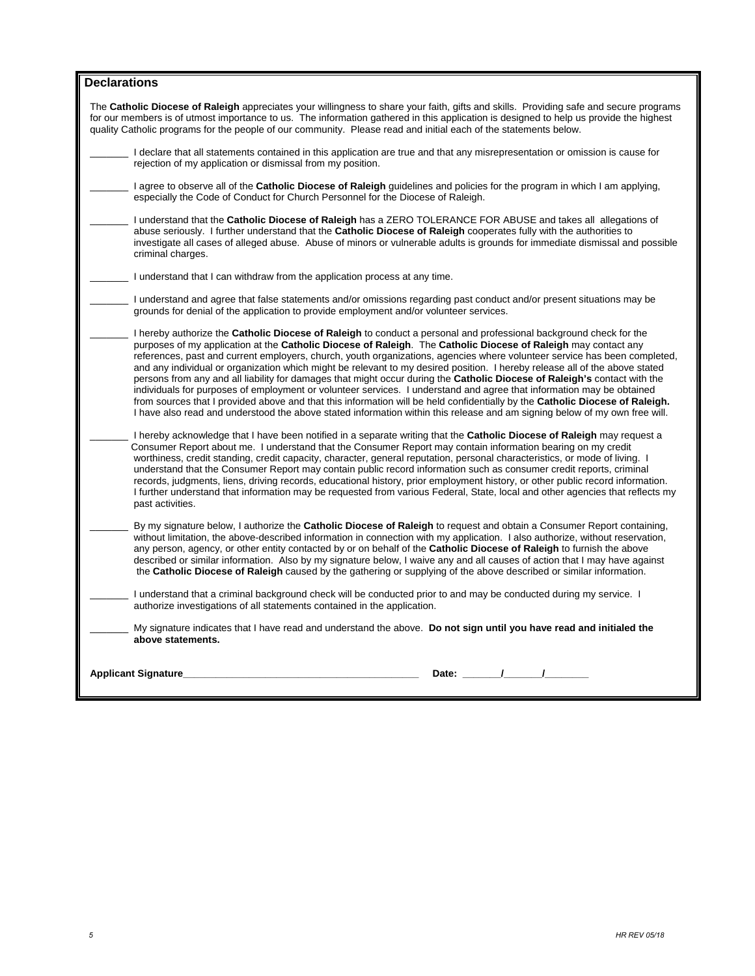| <b>Declarations</b>                                                                                                                                                                                                                                                                                                                                                                                                                                                                                                                                                                                                                                                                                                                                                                                                                                                                                                                                                                                                         |
|-----------------------------------------------------------------------------------------------------------------------------------------------------------------------------------------------------------------------------------------------------------------------------------------------------------------------------------------------------------------------------------------------------------------------------------------------------------------------------------------------------------------------------------------------------------------------------------------------------------------------------------------------------------------------------------------------------------------------------------------------------------------------------------------------------------------------------------------------------------------------------------------------------------------------------------------------------------------------------------------------------------------------------|
| The Catholic Diocese of Raleigh appreciates your willingness to share your faith, gifts and skills. Providing safe and secure programs<br>for our members is of utmost importance to us. The information gathered in this application is designed to help us provide the highest<br>quality Catholic programs for the people of our community. Please read and initial each of the statements below.                                                                                                                                                                                                                                                                                                                                                                                                                                                                                                                                                                                                                        |
| I declare that all statements contained in this application are true and that any misrepresentation or omission is cause for<br>rejection of my application or dismissal from my position.                                                                                                                                                                                                                                                                                                                                                                                                                                                                                                                                                                                                                                                                                                                                                                                                                                  |
| I agree to observe all of the <b>Catholic Diocese of Raleigh</b> guidelines and policies for the program in which I am applying,<br>especially the Code of Conduct for Church Personnel for the Diocese of Raleigh.                                                                                                                                                                                                                                                                                                                                                                                                                                                                                                                                                                                                                                                                                                                                                                                                         |
| I understand that the Catholic Diocese of Raleigh has a ZERO TOLERANCE FOR ABUSE and takes all allegations of<br>abuse seriously. I further understand that the Catholic Diocese of Raleigh cooperates fully with the authorities to<br>investigate all cases of alleged abuse. Abuse of minors or vulnerable adults is grounds for immediate dismissal and possible<br>criminal charges.                                                                                                                                                                                                                                                                                                                                                                                                                                                                                                                                                                                                                                   |
| I understand that I can withdraw from the application process at any time.                                                                                                                                                                                                                                                                                                                                                                                                                                                                                                                                                                                                                                                                                                                                                                                                                                                                                                                                                  |
| I understand and agree that false statements and/or omissions regarding past conduct and/or present situations may be<br>grounds for denial of the application to provide employment and/or volunteer services.                                                                                                                                                                                                                                                                                                                                                                                                                                                                                                                                                                                                                                                                                                                                                                                                             |
| I hereby authorize the <b>Catholic Diocese of Raleigh</b> to conduct a personal and professional background check for the<br>purposes of my application at the Catholic Diocese of Raleigh. The Catholic Diocese of Raleigh may contact any<br>references, past and current employers, church, youth organizations, agencies where volunteer service has been completed,<br>and any individual or organization which might be relevant to my desired position. I hereby release all of the above stated<br>persons from any and all liability for damages that might occur during the Catholic Diocese of Raleigh's contact with the<br>individuals for purposes of employment or volunteer services. I understand and agree that information may be obtained<br>from sources that I provided above and that this information will be held confidentially by the Catholic Diocese of Raleigh.<br>I have also read and understood the above stated information within this release and am signing below of my own free will. |
| I hereby acknowledge that I have been notified in a separate writing that the Catholic Diocese of Raleigh may request a<br>Consumer Report about me. I understand that the Consumer Report may contain information bearing on my credit<br>worthiness, credit standing, credit capacity, character, general reputation, personal characteristics, or mode of living. I<br>understand that the Consumer Report may contain public record information such as consumer credit reports, criminal<br>records, judgments, liens, driving records, educational history, prior employment history, or other public record information.<br>I further understand that information may be requested from various Federal, State, local and other agencies that reflects my<br>past activities.                                                                                                                                                                                                                                        |
| By my signature below, I authorize the <b>Catholic Diocese of Raleigh</b> to request and obtain a Consumer Report containing,<br>without limitation, the above-described information in connection with my application. I also authorize, without reservation,<br>any person, agency, or other entity contacted by or on behalf of the Catholic Diocese of Raleigh to furnish the above<br>described or similar information. Also by my signature below, I waive any and all causes of action that I may have against<br>the Catholic Diocese of Raleigh caused by the gathering or supplying of the above described or similar information.                                                                                                                                                                                                                                                                                                                                                                                |
| I understand that a criminal background check will be conducted prior to and may be conducted during my service. I<br>authorize investigations of all statements contained in the application.                                                                                                                                                                                                                                                                                                                                                                                                                                                                                                                                                                                                                                                                                                                                                                                                                              |
| My signature indicates that I have read and understand the above. Do not sign until you have read and initialed the<br>above statements.                                                                                                                                                                                                                                                                                                                                                                                                                                                                                                                                                                                                                                                                                                                                                                                                                                                                                    |
| Date: / /<br><b>Applicant Signature</b>                                                                                                                                                                                                                                                                                                                                                                                                                                                                                                                                                                                                                                                                                                                                                                                                                                                                                                                                                                                     |